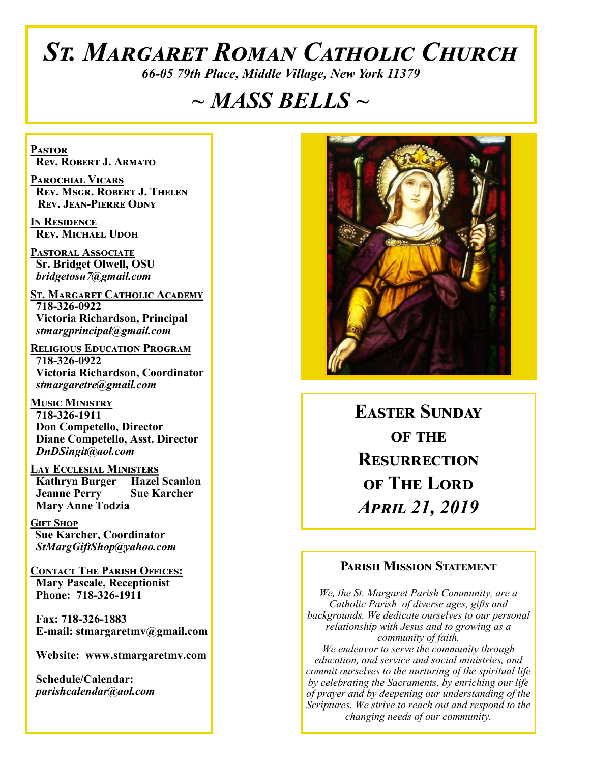# *St. Margaret Roman Catholic Church*

*66-05 79th Place, Middle Village, New York 11379*

# *~ MASS BELLS ~*

**Pastor Rev. Robert J. Armato**

**Parochial Vicars Rev. Msgr. Robert J. Thelen Rev. Jean-Pierre Odny**

**In Residence Rev. Michael Udoh**

**Pastoral Associate Sr. Bridget Olwell, OSU**  *bridgetosu7@gmail.com*

**St. Margaret Catholic Academy 718-326-0922 Victoria Richardson, Principal**  *stmargprincipal@gmail.com*

**Religious Education Program 718-326-0922 Victoria Richardson, Coordinator** *stmargaretre@gmail.com*

**Music Ministry 718-326-1911 Don Competello, Director Diane Competello, Asst. Director** *DnDSingit@aol.com*

**Lay Ecclesial Ministers Kathryn Burger Hazel Scanlon**<br>**Jeanne Perry Sue Karcher Jeanne Perry Mary Anne Todzia**

**Gift Shop Sue Karcher, Coordinator** *StMargGiftShop@yahoo.com*

**Contact The Parish Offices: Mary Pascale, Receptionist Phone: 718-326-1911** 

 **Fax: 718-326-1883 E-mail: stmargaretmv@gmail.com**

 **Website: www.stmargaretmv.com**

 **Schedule/Calendar:** *parishcalendar@aol.com* 



**Easter Sunday OF THE Resurrection of The Lord**  *April 21, 2019* 

#### **Parish Mission Statement**

*We, the St. Margaret Parish Community, are a Catholic Parish of diverse ages, gifts and backgrounds. We dedicate ourselves to our personal relationship with Jesus and to growing as a community of faith. We endeavor to serve the community through education, and service and social ministries, and commit ourselves to the nurturing of the spiritual life by celebrating the Sacraments, by enriching our life of prayer and by deepening our understanding of the Scriptures. We strive to reach out and respond to the changing needs of our community.*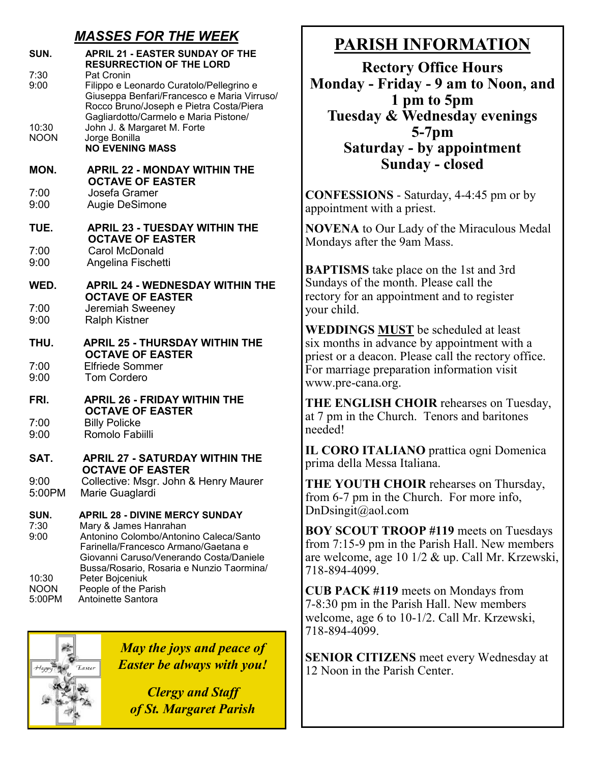## *MASSES FOR THE WEEK*

| SUN.                 | <b>APRIL 21 - EASTER SUNDAY OF THE</b><br><b>RESURRECTION OF THE LORD</b>                                                                                                                                                                |
|----------------------|------------------------------------------------------------------------------------------------------------------------------------------------------------------------------------------------------------------------------------------|
| 7:30<br>9:00         | Pat Cronin<br>Filippo e Leonardo Curatolo/Pellegrino e<br>Giuseppa Benfari/Francesco e Maria Virruso/<br>Rocco Bruno/Joseph e Pietra Costa/Piera                                                                                         |
| 10:30<br><b>NOON</b> | Gagliardotto/Carmelo e Maria Pistone/<br>John J. & Margaret M. Forte<br>Jorge Bonilla<br><b>NO EVENING MASS</b>                                                                                                                          |
| MON.                 | <b>APRIL 22 - MONDAY WITHIN THE</b><br><b>OCTAVE OF EASTER</b>                                                                                                                                                                           |
| 7:00<br>9:00         | Josefa Gramer<br>Augie DeSimone                                                                                                                                                                                                          |
| TUE.                 | <b>APRIL 23 - TUESDAY WITHIN THE</b><br><b>OCTAVE OF EASTER</b>                                                                                                                                                                          |
| 7:00<br>9:00         | Carol McDonald<br>Angelina Fischetti                                                                                                                                                                                                     |
| WED.                 | <b>APRIL 24 - WEDNESDAY WITHIN THE</b><br><b>OCTAVE OF EASTER</b>                                                                                                                                                                        |
| 7:00<br>9:00         | Jeremiah Sweeney<br><b>Ralph Kistner</b>                                                                                                                                                                                                 |
| THU.                 | <b>APRIL 25 - THURSDAY WITHIN THE</b>                                                                                                                                                                                                    |
|                      |                                                                                                                                                                                                                                          |
| 7:00<br>9:00         | <b>OCTAVE OF EASTER</b><br><b>Elfriede Sommer</b><br><b>Tom Cordero</b>                                                                                                                                                                  |
| FRI.                 | <b>APRIL 26 - FRIDAY WITHIN THE</b>                                                                                                                                                                                                      |
| 7:00<br>9:00         | <b>OCTAVE OF EASTER</b><br><b>Billy Policke</b><br>Romolo Fabiilli                                                                                                                                                                       |
| SAT.                 | <b>APRIL 27 - SATURDAY WITHIN THE</b>                                                                                                                                                                                                    |
| 9:00<br>5:00PM       | <b>OCTAVE OF EASTER</b><br>Collective: Msgr. John & Henry Maurer<br>Marie Guaglardi                                                                                                                                                      |
| SUN.<br>7:30<br>9:00 | <b>APRIL 28 - DIVINE MERCY SUNDAY</b><br>Mary & James Hanrahan<br>Antonino Colombo/Antonino Caleca/Santo<br>Farinella/Francesco Armano/Gaetana e<br>Giovanni Caruso/Venerando Costa/Daniele<br>Bussa/Rosario, Rosaria e Nunzio Taormina/ |

# **PARISH INFORMATION**

**Rectory Office Hours Monday - Friday - 9 am to Noon, and 1 pm to 5pm Tuesday & Wednesday evenings 5-7pm Saturday - by appointment Sunday - closed**

**CONFESSIONS** - Saturday, 4-4:45 pm or by appointment with a priest.

**NOVENA** to Our Lady of the Miraculous Medal Mondays after the 9am Mass.

**BAPTISMS** take place on the 1st and 3rd Sundays of the month. Please call the rectory for an appointment and to register your child.

**WEDDINGS MUST** be scheduled at least six months in advance by appointment with a priest or a deacon. Please call the rectory office. For marriage preparation information visit www.pre-cana.org.

**THE ENGLISH CHOIR** rehearses on Tuesday, at 7 pm in the Church. Tenors and baritones needed!

**IL CORO ITALIANO** prattica ogni Domenica prima della Messa Italiana.

**THE YOUTH CHOIR** rehearses on Thursday, from 6-7 pm in the Church. For more info, DnDsingit@aol.com

**BOY SCOUT TROOP #119** meets on Tuesdays from 7:15-9 pm in the Parish Hall. New members are welcome, age 10 1/2 & up. Call Mr. Krzewski, 718-894-4099.

**CUB PACK #119** meets on Mondays from 7-8:30 pm in the Parish Hall. New members welcome, age 6 to 10-1/2. Call Mr. Krzewski, 718-894-4099.

**SENIOR CITIZENS** meet every Wednesday at 12 Noon in the Parish Center.



*May the joys and peace of Easter be always with you!*

*Clergy and Staff of St. Margaret Parish*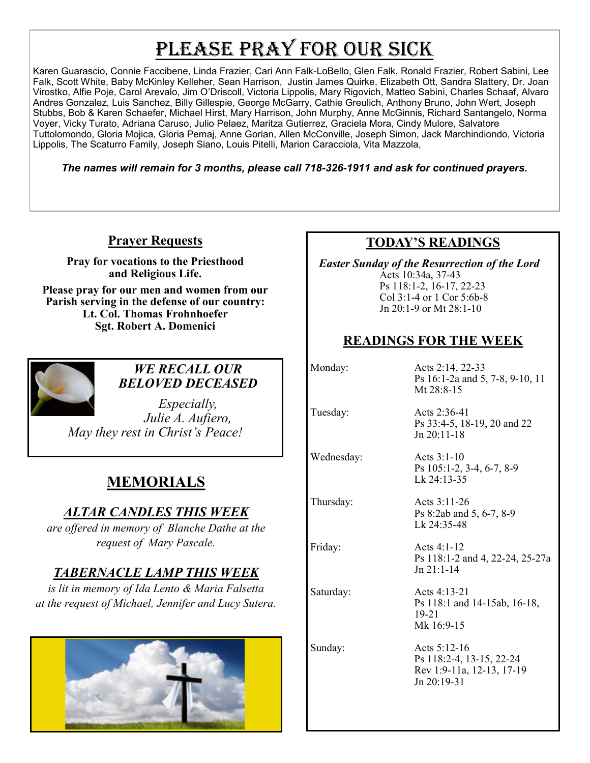# PLEASE PRAY FOR OUR SICK

Karen Guarascio, Connie Faccibene, Linda Frazier, Cari Ann Falk-LoBello, Glen Falk, Ronald Frazier, Robert Sabini, Lee Falk, Scott White, Baby McKinley Kelleher, Sean Harrison, Justin James Quirke, Elizabeth Ott, Sandra Slattery, Dr. Joan Virostko, Alfie Poje, Carol Arevalo, Jim O'Driscoll, Victoria Lippolis, Mary Rigovich, Matteo Sabini, Charles Schaaf, Alvaro Andres Gonzalez, Luis Sanchez, Billy Gillespie, George McGarry, Cathie Greulich, Anthony Bruno, John Wert, Joseph Stubbs, Bob & Karen Schaefer, Michael Hirst, Mary Harrison, John Murphy, Anne McGinnis, Richard Santangelo, Norma Voyer, Vicky Turato, Adriana Caruso, Julio Pelaez, Maritza Gutierrez, Graciela Mora, Cindy Mulore, Salvatore Tuttolomondo, Gloria Mojica, Gloria Pemaj, Anne Gorian, Allen McConville, Joseph Simon, Jack Marchindiondo, Victoria Lippolis, The Scaturro Family, Joseph Siano, Louis Pitelli, Marion Caracciola, Vita Mazzola,

*The names will remain for 3 months, please call 718-326-1911 and ask for continued prayers.*

### **Prayer Requests**

**Pray for vocations to the Priesthood and Religious Life.** 

**Please pray for our men and women from our Parish serving in the defense of our country: Lt. Col. Thomas Frohnhoefer Sgt. Robert A. Domenici** 



*WE RECALL OUR BELOVED DECEASED*

*Especially, Julie A. Aufiero, May they rest in Christ's Peace!*

## **MEMORIALS**

### *ALTAR CANDLES THIS WEEK*

*are offered in memory of Blanche Dathe at the request of Mary Pascale.* 

### *TABERNACLE LAMP THIS WEEK*

*is lit in memory of Ida Lento & Maria Falsetta at the request of Michael, Jennifer and Lucy Sutera.* 



### **TODAY'S READINGS**

 *Easter Sunday of the Resurrection of the Lord*  Acts 10:34a, 37-43 Ps 118:1-2, 16-17, 22-23 Col 3:1-4 or 1 Cor 5:6b-8 Jn 20:1-9 or Mt 28:1-10

### **READINGS FOR THE WEEK**

Monday: Acts 2:14, 22-33 Ps 16:1-2a and 5, 7-8, 9-10, 11 Mt 28:8-15

Wednesday: Acts 3:1-10

Tuesday: Acts 2:36-41 Ps 33:4-5, 18-19, 20 and 22 Jn 20:11-18

> Ps 105:1-2, 3-4, 6-7, 8-9 Lk 24:13-35

Thursday: Acts 3:11-26 Ps 8:2ab and 5, 6-7, 8-9 Lk 24:35-48

Friday: Acts 4:1-12 Ps 118:1-2 and 4, 22-24, 25-27a Jn 21:1-14

Saturday: Acts 4:13-21 Ps 118:1 and 14-15ab, 16-18, 19-21 Mk 16:9-15

Sunday: Acts 5:12-16 Ps 118:2-4, 13-15, 22-24 Rev 1:9-11a, 12-13, 17-19 Jn 20:19-31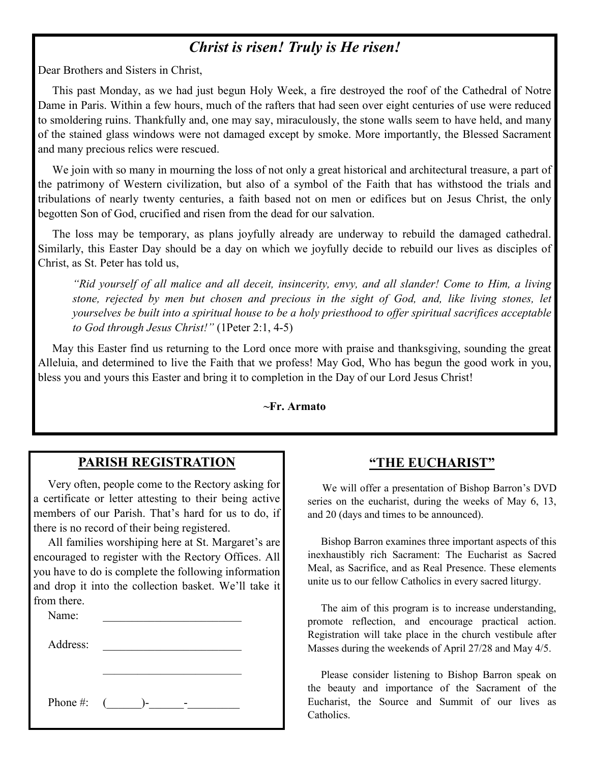# *Christ is risen! Truly is He risen!*

Dear Brothers and Sisters in Christ,

 This past Monday, as we had just begun Holy Week, a fire destroyed the roof of the Cathedral of Notre Dame in Paris. Within a few hours, much of the rafters that had seen over eight centuries of use were reduced to smoldering ruins. Thankfully and, one may say, miraculously, the stone walls seem to have held, and many of the stained glass windows were not damaged except by smoke. More importantly, the Blessed Sacrament and many precious relics were rescued.

 We join with so many in mourning the loss of not only a great historical and architectural treasure, a part of the patrimony of Western civilization, but also of a symbol of the Faith that has withstood the trials and tribulations of nearly twenty centuries, a faith based not on men or edifices but on Jesus Christ, the only begotten Son of God, crucified and risen from the dead for our salvation.

 The loss may be temporary, as plans joyfully already are underway to rebuild the damaged cathedral. Similarly, this Easter Day should be a day on which we joyfully decide to rebuild our lives as disciples of Christ, as St. Peter has told us,

*"Rid yourself of all malice and all deceit, insincerity, envy, and all slander! Come to Him, a living stone, rejected by men but chosen and precious in the sight of God, and, like living stones, let yourselves be built into a spiritual house to be a holy priesthood to offer spiritual sacrifices acceptable to God through Jesus Christ!"* (1Peter 2:1, 4-5)

 May this Easter find us returning to the Lord once more with praise and thanksgiving, sounding the great Alleluia, and determined to live the Faith that we profess! May God, Who has begun the good work in you, bless you and yours this Easter and bring it to completion in the Day of our Lord Jesus Christ!

#### **~Fr. Armato**

#### **PARISH REGISTRATION**

 Very often, people come to the Rectory asking for a certificate or letter attesting to their being active members of our Parish. That's hard for us to do, if there is no record of their being registered.

 All families worshiping here at St. Margaret's are encouraged to register with the Rectory Offices. All you have to do is complete the following information and drop it into the collection basket. We'll take it from there.

| Name:    |                  |  |
|----------|------------------|--|
| Address: |                  |  |
|          |                  |  |
|          |                  |  |
| Phone #: | $\sqrt{2}$<br>۱– |  |

#### **"THE EUCHARIST"**

 We will offer a presentation of Bishop Barron's DVD series on the eucharist, during the weeks of May 6, 13, and 20 (days and times to be announced).

 Bishop Barron examines three important aspects of this inexhaustibly rich Sacrament: The Eucharist as Sacred Meal, as Sacrifice, and as Real Presence. These elements unite us to our fellow Catholics in every sacred liturgy.

 The aim of this program is to increase understanding, promote reflection, and encourage practical action. Registration will take place in the church vestibule after Masses during the weekends of April 27/28 and May 4/5.

 Please consider listening to Bishop Barron speak on the beauty and importance of the Sacrament of the Eucharist, the Source and Summit of our lives as Catholics.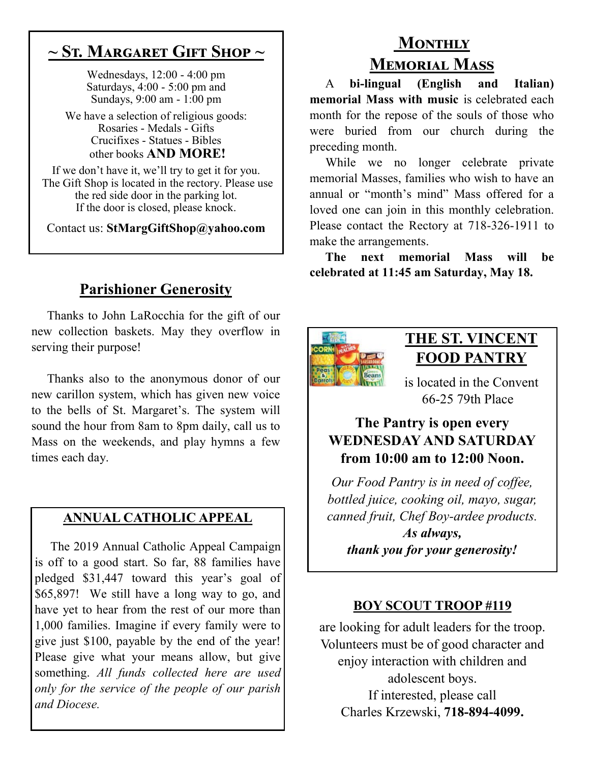# **~ St. Margaret Gift Shop ~**

Wednesdays, 12:00 - 4:00 pm Saturdays, 4:00 - 5:00 pm and Sundays, 9:00 am - 1:00 pm

We have a selection of religious goods: Rosaries - Medals - Gifts Crucifixes - Statues - Bibles other books **AND MORE!**

If we don't have it, we'll try to get it for you. The Gift Shop is located in the rectory. Please use the red side door in the parking lot. If the door is closed, please knock.

Contact us: **StMargGiftShop@yahoo.com**

# **Parishioner Generosity**

 Thanks to John LaRocchia for the gift of our new collection baskets. May they overflow in serving their purpose!

 Thanks also to the anonymous donor of our new carillon system, which has given new voice to the bells of St. Margaret's. The system will sound the hour from 8am to 8pm daily, call us to Mass on the weekends, and play hymns a few times each day.

### **ANNUAL CATHOLIC APPEAL**

 The 2019 Annual Catholic Appeal Campaign is off to a good start. So far, 88 families have pledged \$31,447 toward this year's goal of \$65,897! We still have a long way to go, and have yet to hear from the rest of our more than 1,000 families. Imagine if every family were to give just \$100, payable by the end of the year! Please give what your means allow, but give something. *All funds collected here are used only for the service of the people of our parish and Diocese.* 

# **Monthly Memorial Mass**

 A **bi-lingual (English and Italian) memorial Mass with music** is celebrated each month for the repose of the souls of those who were buried from our church during the preceding month.

 While we no longer celebrate private memorial Masses, families who wish to have an annual or "month's mind" Mass offered for a loved one can join in this monthly celebration. Please contact the Rectory at 718-326-1911 to make the arrangements.

 **The next memorial Mass will be celebrated at 11:45 am Saturday, May 18.** 



# **THE ST. VINCENT FOOD PANTRY**

is located in the Convent 66-25 79th Place

## **The Pantry is open every WEDNESDAY AND SATURDAY from 10:00 am to 12:00 Noon.**

*Our Food Pantry is in need of coffee, bottled juice, cooking oil, mayo, sugar, canned fruit, Chef Boy-ardee products. As always, thank you for your generosity!*

### **BOY SCOUT TROOP #119**

are looking for adult leaders for the troop. Volunteers must be of good character and enjoy interaction with children and adolescent boys. If interested, please call Charles Krzewski, **718-894-4099.**